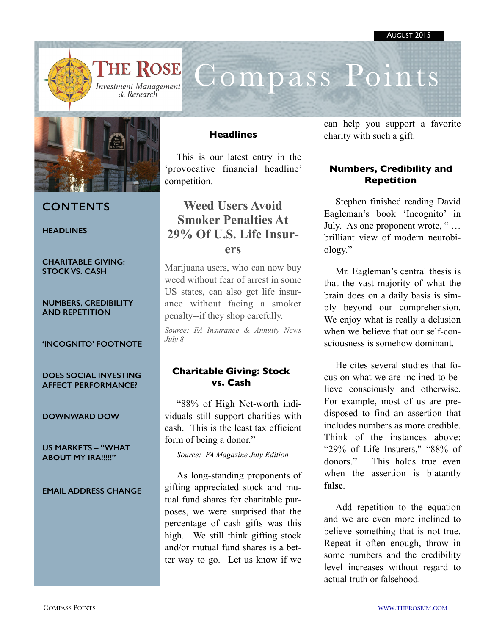

# Compass Points



## **CONTENTS**

**HEADLINES** 

**CHARITABLE GIVING: STOCK VS. CASH**

**NUMBERS, CREDIBILITY AND REPETITION** 

#### **'INCOGNITO' FOOTNOTE**

**DOES SOCIAL INVESTING AFFECT PERFORMANCE?**

**DOWNWARD DOW**

**US MARKETS – "WHAT ABOUT MY IRA!!!!!"** 

#### **EMAIL ADDRESS CHANGE**

### **Headlines**

This is our latest entry in the 'provocative financial headline' competition.

# **Weed Users Avoid Smoker Penalties At [29% Of U.S. Life Insur](http://r20.rs6.net/tn.jsp?f=001s1cmE3TK0G-uL_C9hkYTkH879G5HCgQ6Jx0nhc3s5EjuULlcHTs1UOgbCyhbY5m8ytI-Diw9XOApGuu)ers**

Marijuana users, who can now buy weed without fear of arrest in some US states, can also get life insurance without facing a smoker penalty--if they shop carefully.

*Source: FA Insurance & Annuity News July 8* 

### **Charitable Giving: Stock vs. Cash**

"88% of High Net-worth individuals still support charities with cash. This is the least tax efficient form of being a donor."

*Source: FA Magazine July Edition* 

As long-standing proponents of gifting appreciated stock and mutual fund shares for charitable purposes, we were surprised that the percentage of cash gifts was this high. We still think gifting stock and/or mutual fund shares is a better way to go. Let us know if we can help you support a favorite charity with such a gift.

## **Numbers, Credibility and Repetition**

Stephen finished reading David Eagleman's book 'Incognito' in July. As one proponent wrote, " … brilliant view of modern neurobiology."

Mr. Eagleman's central thesis is that the vast majority of what the brain does on a daily basis is simply beyond our comprehension. We enjoy what is really a delusion when we believe that our self-consciousness is somehow dominant.

He cites several studies that focus on what we are inclined to believe consciously and otherwise. For example, most of us are predisposed to find an assertion that includes numbers as more credible. Think of the instances above: "29% of Life Insurers," "88% of donors." This holds true even when the assertion is blatantly **false**.

Add repetition to the equation and we are even more inclined to believe something that is not true. Repeat it often enough, throw in some numbers and the credibility level increases without regard to actual truth or falsehood.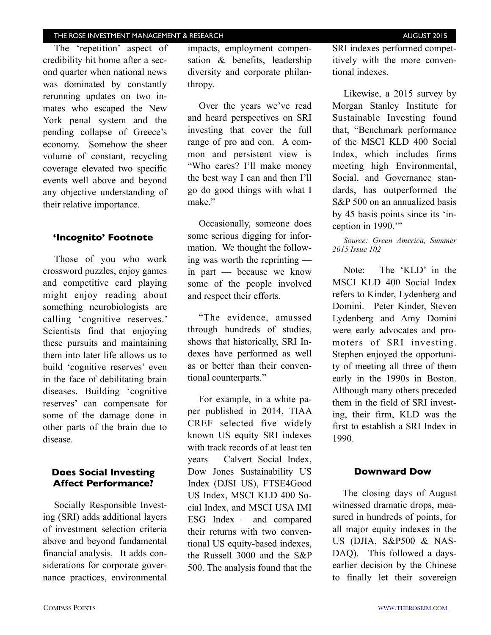#### THE ROSE INVESTMENT MANAGEMENT & RESEARCH **AUGUST 2015** AUGUST 2015

The 'repetition' aspect of credibility hit home after a second quarter when national news was dominated by constantly rerunning updates on two inmates who escaped the New York penal system and the pending collapse of Greece's economy. Somehow the sheer volume of constant, recycling coverage elevated two specific events well above and beyond any objective understanding of their relative importance.

#### **'Incognito' Footnote**

Those of you who work crossword puzzles, enjoy games and competitive card playing might enjoy reading about something neurobiologists are calling 'cognitive reserves.' Scientists find that enjoying these pursuits and maintaining them into later life allows us to build 'cognitive reserves' even in the face of debilitating brain diseases. Building 'cognitive reserves' can compensate for some of the damage done in other parts of the brain due to disease.

### **Does Social Investing Affect Performance?**

Socially Responsible Investing (SRI) adds additional layers of investment selection criteria above and beyond fundamental financial analysis. It adds considerations for corporate governance practices, environmental

impacts, employment compensation & benefits, leadership diversity and corporate philanthropy.

Over the years we've read and heard perspectives on SRI investing that cover the full range of pro and con. A common and persistent view is "Who cares? I'll make money the best way I can and then I'll go do good things with what I make<sup>"</sup>

Occasionally, someone does some serious digging for information. We thought the following was worth the reprinting in part — because we know some of the people involved and respect their efforts.

"The evidence, amassed through hundreds of studies, shows that historically, SRI Indexes have performed as well as or better than their conventional counterparts."

For example, in a white paper published in 2014, TIAA CREF selected five widely known US equity SRI indexes with track records of at least ten years – Calvert Social Index, Dow Jones Sustainability US Index (DJSI US), FTSE4Good US Index, MSCI KLD 400 Social Index, and MSCI USA IMI ESG Index – and compared their returns with two conventional US equity-based indexes, the Russell 3000 and the S&P 500. The analysis found that the SRI indexes performed competitively with the more conventional indexes.

Likewise, a 2015 survey by Morgan Stanley Institute for Sustainable Investing found that, "Benchmark performance of the MSCI KLD 400 Social Index, which includes firms meeting high Environmental, Social, and Governance standards, has outperformed the S&P 500 on an annualized basis by 45 basis points since its 'inception in 1990.'"

*Source: Green America, Summer 2015 Issue 102* 

Note: The 'KLD' in the MSCI KLD 400 Social Index refers to Kinder, Lydenberg and Domini. Peter Kinder, Steven Lydenberg and Amy Domini were early advocates and promoters of SRI investing. Stephen enjoyed the opportunity of meeting all three of them early in the 1990s in Boston. Although many others preceded them in the field of SRI investing, their firm, KLD was the first to establish a SRI Index in 1990.

#### **Downward Dow**

The closing days of August witnessed dramatic drops, measured in hundreds of points, for all major equity indexes in the US (DJIA, S&P500 & NAS-DAQ). This followed a daysearlier decision by the Chinese to finally let their sovereign